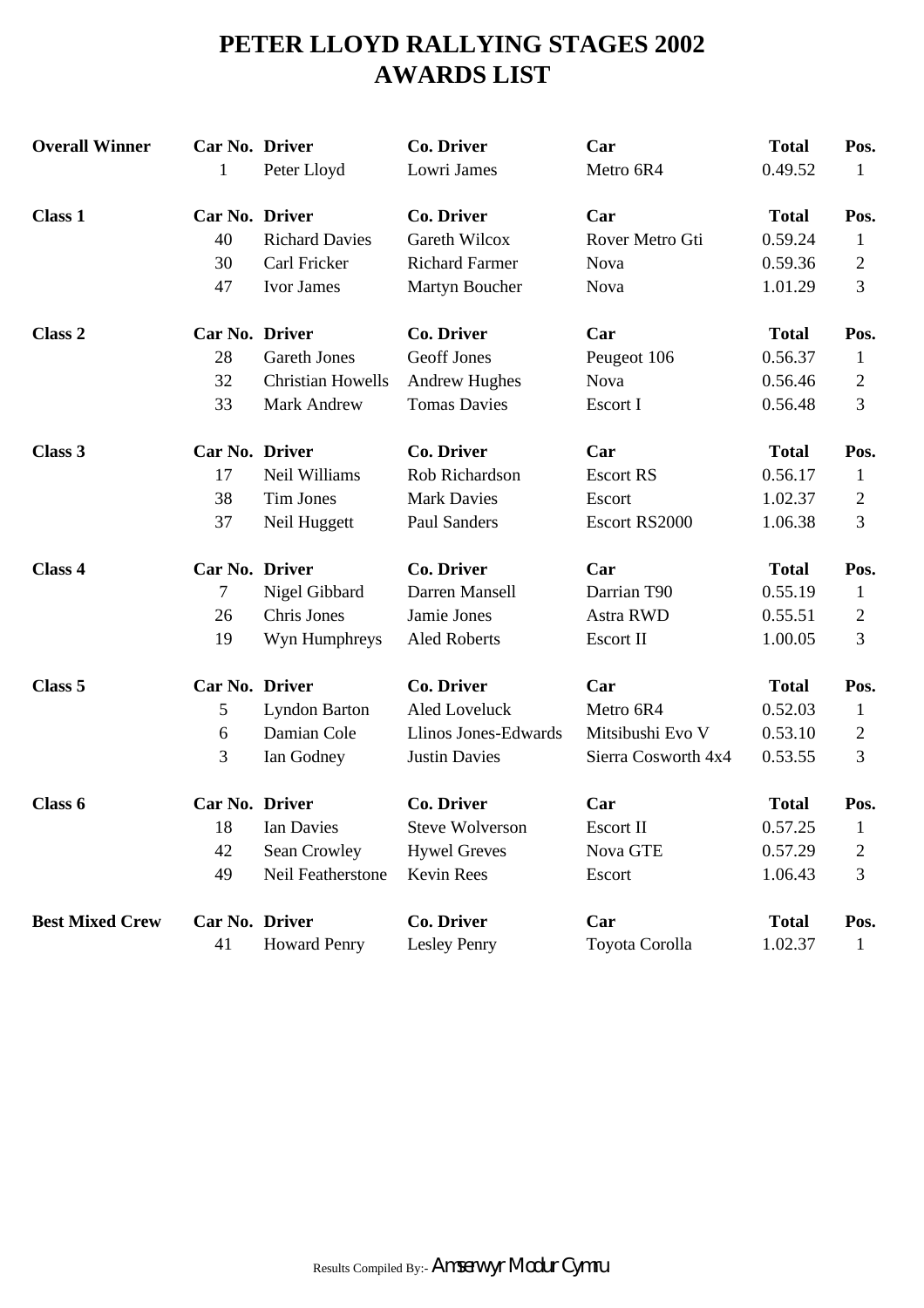# **PETER LLOYD RALLYING STAGES 2002 AWARDS LIST**

| <b>Overall Winner</b>  | Car No. Driver |                          | <b>Co. Driver</b>      | Car                 | <b>Total</b> | Pos.           |
|------------------------|----------------|--------------------------|------------------------|---------------------|--------------|----------------|
|                        | 1              | Peter Lloyd              | Lowri James            | Metro 6R4           | 0.49.52      | 1              |
| <b>Class 1</b>         | Car No. Driver |                          | <b>Co. Driver</b>      | Car                 | <b>Total</b> | Pos.           |
|                        | 40             | <b>Richard Davies</b>    | <b>Gareth Wilcox</b>   | Rover Metro Gti     | 0.59.24      | 1              |
|                        | 30             | Carl Fricker             | <b>Richard Farmer</b>  | Nova                | 0.59.36      | $\overline{2}$ |
|                        | 47             | Ivor James               | Martyn Boucher         | <b>Nova</b>         | 1.01.29      | 3              |
| Class 2                | Car No. Driver |                          | <b>Co. Driver</b>      | Car                 | <b>Total</b> | Pos.           |
|                        | 28             | <b>Gareth Jones</b>      | <b>Geoff Jones</b>     | Peugeot 106         | 0.56.37      | $\mathbf{1}$   |
|                        | 32             | <b>Christian Howells</b> | <b>Andrew Hughes</b>   | <b>Nova</b>         | 0.56.46      | 2              |
|                        | 33             | Mark Andrew              | <b>Tomas Davies</b>    | Escort I            | 0.56.48      | 3              |
| Class 3                | Car No. Driver |                          | <b>Co. Driver</b>      | Car                 | <b>Total</b> | Pos.           |
|                        | 17             | Neil Williams            | Rob Richardson         | <b>Escort RS</b>    | 0.56.17      | $\mathbf{1}$   |
|                        | 38             | Tim Jones                | <b>Mark Davies</b>     | Escort              | 1.02.37      | 2              |
|                        | 37             | Neil Huggett             | Paul Sanders           | Escort RS2000       | 1.06.38      | 3              |
| Class 4                | Car No. Driver |                          | <b>Co. Driver</b>      | Car                 | <b>Total</b> | Pos.           |
|                        | 7              | Nigel Gibbard            | Darren Mansell         | Darrian T90         | 0.55.19      | 1              |
|                        | 26             | Chris Jones              | Jamie Jones            | <b>Astra RWD</b>    | 0.55.51      | $\overline{2}$ |
|                        | 19             | Wyn Humphreys            | <b>Aled Roberts</b>    | Escort II           | 1.00.05      | 3              |
| Class 5                | Car No. Driver |                          | <b>Co. Driver</b>      | Car                 | <b>Total</b> | Pos.           |
|                        | 5              | <b>Lyndon Barton</b>     | Aled Loveluck          | Metro 6R4           | 0.52.03      | 1              |
|                        | 6              | Damian Cole              | Llinos Jones-Edwards   | Mitsibushi Evo V    | 0.53.10      | 2              |
|                        | 3              | Ian Godney               | <b>Justin Davies</b>   | Sierra Cosworth 4x4 | 0.53.55      | 3              |
| Class 6                | Car No. Driver |                          | Co. Driver             | Car                 | <b>Total</b> | Pos.           |
|                        | 18             | Ian Davies               | <b>Steve Wolverson</b> | Escort II           | 0.57.25      | $\mathbf{I}$   |
|                        | 42             | Sean Crowley             | <b>Hywel Greves</b>    | Nova GTE            | 0.57.29      | 2              |
|                        | 49             | Neil Featherstone        | Kevin Rees             | Escort              | 1.06.43      | 3              |
| <b>Best Mixed Crew</b> | Car No. Driver |                          | Co. Driver             | Car                 | <b>Total</b> | Pos.           |
|                        | 41             | <b>Howard Penry</b>      | Lesley Penry           | Toyota Corolla      | 1.02.37      | $\mathbf{1}$   |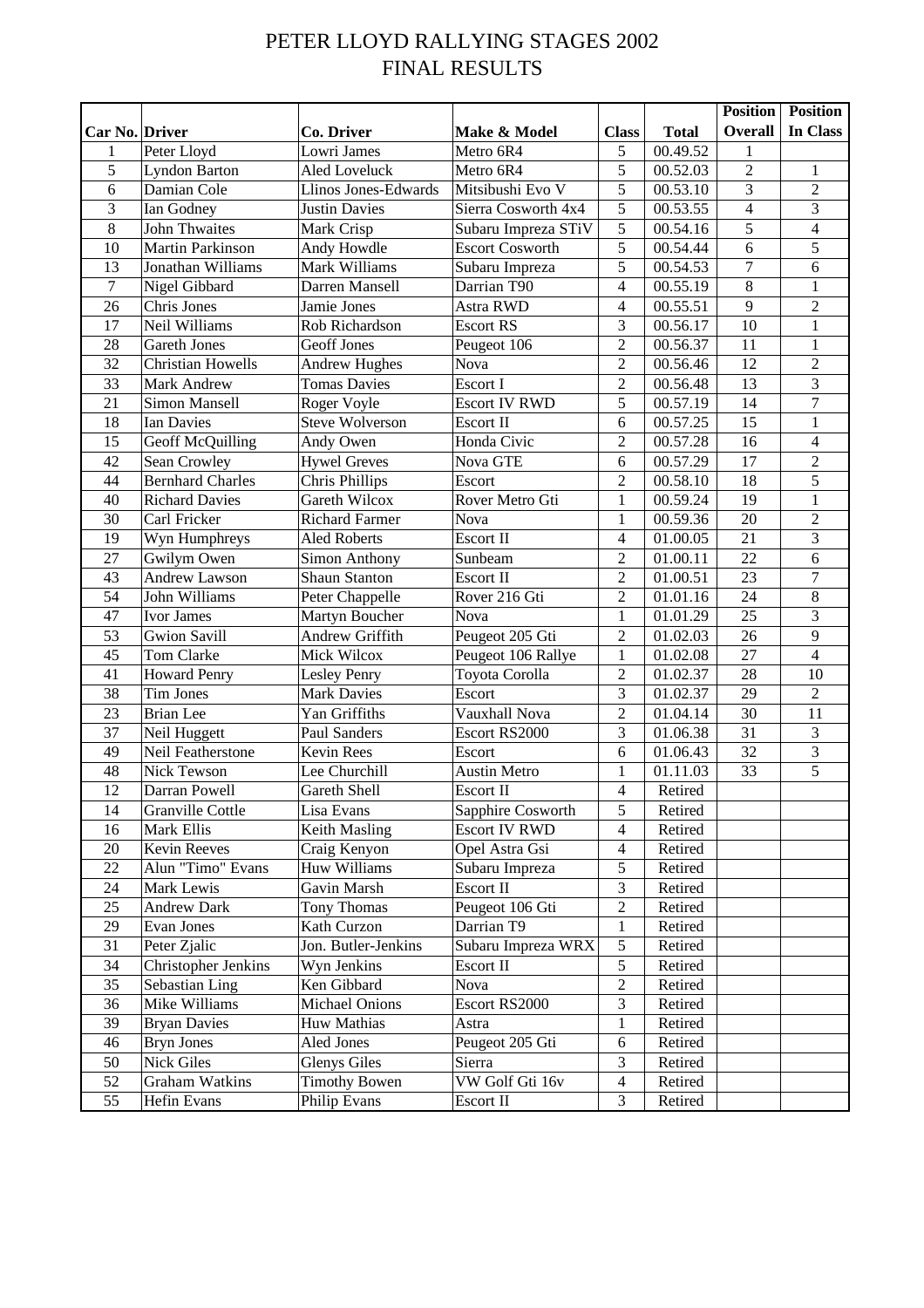## PETER LLOYD RALLYING STAGES 2002 FINAL RESULTS

|                |                          |                        |                        |                         |                       |                         | <b>Position</b> Position |
|----------------|--------------------------|------------------------|------------------------|-------------------------|-----------------------|-------------------------|--------------------------|
| Car No. Driver |                          | Co. Driver             | Make & Model           | <b>Class</b>            | <b>Total</b>          | Overall                 | In Class                 |
| 1              | Peter Lloyd              | Lowri James            | Metro 6R4              | 5                       | 00.49.52              | $\mathbf{1}$            |                          |
| 5              | <b>Lyndon Barton</b>     | <b>Aled Loveluck</b>   | Metro 6R4              | 5                       | 00.52.03              | $\overline{2}$          | $\mathbf{1}$             |
| 6              | Damian Cole              | Llinos Jones-Edwards   | Mitsibushi Evo V       | 5                       | 00.53.10              | $\overline{\mathbf{3}}$ | $\overline{2}$           |
| 3              | Ian Godney               | <b>Justin Davies</b>   | Sierra Cosworth 4x4    | 5                       | 00.53.55              | $\overline{4}$          | $\overline{3}$           |
| 8              | <b>John Thwaites</b>     | Mark Crisp             | Subaru Impreza STiV    | 5                       | 00.54.16              | 5                       | $\overline{4}$           |
| 10             | Martin Parkinson         | Andy Howdle            | <b>Escort Cosworth</b> | 5                       | 00.54.44              | 6                       | $\overline{5}$           |
| 13             | Jonathan Williams        | Mark Williams          | Subaru Impreza         | 5                       | 00.54.53              | $\overline{7}$          | 6                        |
| 7              | Nigel Gibbard            | Darren Mansell         | Darrian T90            | $\overline{4}$          | 00.55.19              | $\overline{8}$          | $\mathbf{1}$             |
| 26             | Chris Jones              | Jamie Jones            | Astra RWD              | 4                       | 00.55.51              | 9                       | $\overline{2}$           |
| 17             | Neil Williams            | Rob Richardson         | <b>Escort RS</b>       | 3                       | 00.56.17              | 10                      | $\mathbf{1}$             |
| 28             | Gareth Jones             | <b>Geoff Jones</b>     | Peugeot 106            | $\overline{c}$          | 00.56.37              | 11                      | 1                        |
| 32             | <b>Christian Howells</b> | <b>Andrew Hughes</b>   | <b>Nova</b>            | $\overline{2}$          | 00.56.46              | 12                      | $\overline{c}$           |
| 33             | Mark Andrew              | <b>Tomas Davies</b>    | Escort I               | $\overline{2}$          | 00.56.48              | 13                      | $\overline{\mathbf{3}}$  |
| 21             | Simon Mansell            | Roger Voyle            | <b>Escort IV RWD</b>   | 5                       | $\overline{00.57.19}$ | 14                      | $\overline{7}$           |
| 18             | Ian Davies               | <b>Steve Wolverson</b> | Escort II              | 6                       | 00.57.25              | 15                      | $\mathbf{1}$             |
| 15             | Geoff McQuilling         | Andy Owen              | Honda Civic            | $\overline{c}$          | 00.57.28              | 16                      | $\overline{4}$           |
| 42             | Sean Crowley             | <b>Hywel Greves</b>    | Nova GTE               | 6                       | 00.57.29              | 17                      | $\overline{2}$           |
| 44             | <b>Bernhard Charles</b>  | Chris Phillips         | Escort                 | $\overline{c}$          | 00.58.10              | 18                      | $\overline{5}$           |
| 40             | <b>Richard Davies</b>    | Gareth Wilcox          | Rover Metro Gti        | $\mathbf{1}$            | 00.59.24              | 19                      | $\mathbf{1}$             |
| 30             | Carl Fricker             | <b>Richard Farmer</b>  | Nova                   | $\mathbf{1}$            | 00.59.36              | 20                      | $\overline{2}$           |
| 19             | Wyn Humphreys            | <b>Aled Roberts</b>    | Escort II              | $\overline{\mathbf{4}}$ | 01.00.05              | 21                      | $\overline{3}$           |
| 27             | Gwilym Owen              | Simon Anthony          | Sunbeam                | $\overline{c}$          | 01.00.11              | 22                      | 6                        |
| 43             | <b>Andrew Lawson</b>     | <b>Shaun Stanton</b>   | Escort II              | $\overline{2}$          | 01.00.51              | 23                      | $\overline{7}$           |
| 54             | John Williams            | Peter Chappelle        | Rover 216 Gti          | $\overline{c}$          | 01.01.16              | 24                      | $\overline{8}$           |
| 47             | Ivor James               | Martyn Boucher         | Nova                   | $\mathbf{1}$            | 01.01.29              | 25                      | $\overline{3}$           |
| 53             | <b>Gwion Savill</b>      | Andrew Griffith        | Peugeot 205 Gti        | $\overline{c}$          | 01.02.03              | 26                      | 9                        |
| 45             | Tom Clarke               | Mick Wilcox            | Peugeot 106 Rallye     | $\mathbf 1$             | 01.02.08              | 27                      | $\overline{4}$           |
| 41             | <b>Howard Penry</b>      | Lesley Penry           | Toyota Corolla         | $\overline{c}$          | 01.02.37              | 28                      | 10                       |
| 38             | Tim Jones                | <b>Mark Davies</b>     | Escort                 | 3                       | 01.02.37              | 29                      | $\overline{2}$           |
| 23             | <b>Brian</b> Lee         | Yan Griffiths          | Vauxhall Nova          | $\overline{2}$          | 01.04.14              | 30                      | 11                       |
| 37             | Neil Huggett             | Paul Sanders           | Escort RS2000          | 3                       | 01.06.38              | 31                      | $\overline{3}$           |
| 49             | Neil Featherstone        | Kevin Rees             | Escort                 | 6                       | 01.06.43              | $\overline{32}$         | $\overline{3}$           |
| 48             | Nick Tewson              | Lee Churchill          | <b>Austin Metro</b>    | $\mathbf{1}$            | 01.11.03              | 33                      | $\overline{5}$           |
| 12             | Darran Powell            | Gareth Shell           | Escort II              | $\overline{4}$          | Retired               |                         |                          |
| 14             | Granville Cottle         | Lisa Evans             | Sapphire Cosworth      | 5                       | Retired               |                         |                          |
| 16             | Mark Ellis               | Keith Masling          | <b>Escort IV RWD</b>   | 4                       | Retired               |                         |                          |
| 20             | Kevin Reeves             | Craig Kenyon           | Opel Astra Gsi         | $\overline{4}$          | Retired               |                         |                          |
| 22             | Alun "Timo" Evans        | Huw Williams           | Subaru Impreza         | 5                       | Retired               |                         |                          |
| 24             | Mark Lewis               | Gavin Marsh            | Escort II              | 3                       | Retired               |                         |                          |
| 25             | <b>Andrew Dark</b>       | Tony Thomas            | Peugeot 106 Gti        | $\boldsymbol{2}$        | Retired               |                         |                          |
| 29             | Evan Jones               | Kath Curzon            | Darrian T9             | $\mathbf 1$             | Retired               |                         |                          |
| 31             | Peter Zjalic             | Jon. Butler-Jenkins    | Subaru Impreza WRX     | 5                       | Retired               |                         |                          |
| 34             | Christopher Jenkins      | Wyn Jenkins            | Escort II              | 5                       | Retired               |                         |                          |
| 35             | Sebastian Ling           | Ken Gibbard            | Nova                   | $\overline{c}$          | Retired               |                         |                          |
| 36             | Mike Williams            | <b>Michael Onions</b>  | Escort RS2000          | 3                       | Retired               |                         |                          |
| 39             | <b>Bryan Davies</b>      | Huw Mathias            | Astra                  | $\mathbf 1$             | Retired               |                         |                          |
| 46             | <b>Bryn Jones</b>        | Aled Jones             | Peugeot 205 Gti        | 6                       | Retired               |                         |                          |
| 50             | Nick Giles               | <b>Glenys Giles</b>    | Sierra                 | 3                       | Retired               |                         |                          |
| 52             | <b>Graham Watkins</b>    | <b>Timothy Bowen</b>   | VW Golf Gti 16v        | $\overline{4}$          | Retired               |                         |                          |
| 55             | Hefin Evans              | Philip Evans           | Escort II              | 3                       | Retired               |                         |                          |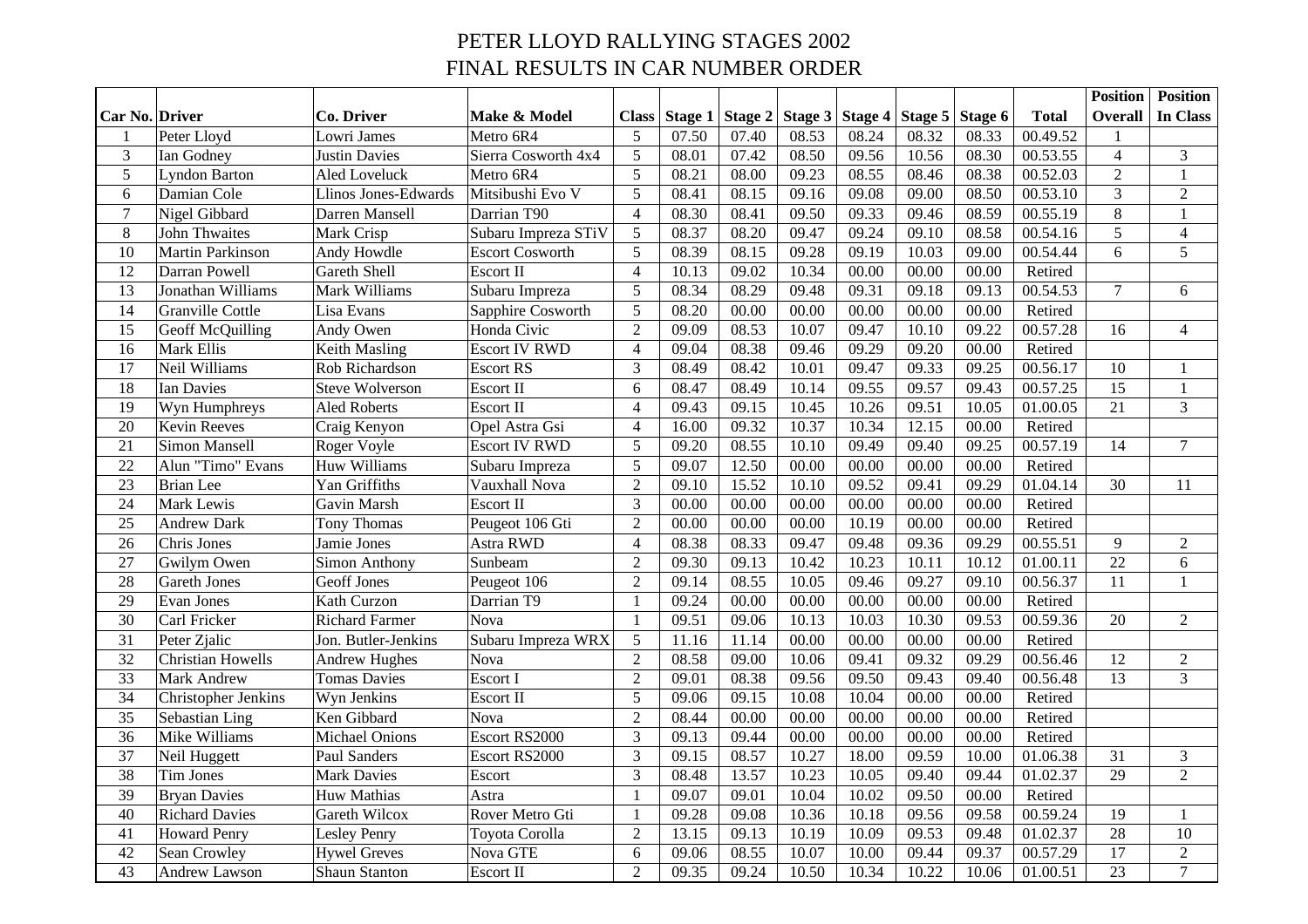## PETER LLOYD RALLYING STAGES 2002 FINAL RESULTS IN CAR NUMBER ORDER

|                       |                          |                        |                        |                |       |                     |                 |       |         |         |              | <b>Position</b> | <b>Position</b> |
|-----------------------|--------------------------|------------------------|------------------------|----------------|-------|---------------------|-----------------|-------|---------|---------|--------------|-----------------|-----------------|
| <b>Car No. Driver</b> |                          | Co. Driver             | Make & Model           | <b>Class</b>   |       | Stage $1$ Stage $2$ | Stage 3 Stage 4 |       | Stage 5 | Stage 6 | <b>Total</b> | Overall         | In Class        |
|                       | Peter Lloyd              | Lowri James            | Metro 6R4              | 5              | 07.50 | 07.40               | 08.53           | 08.24 | 08.32   | 08.33   | 00.49.52     |                 |                 |
| 3                     | Ian Godney               | Justin Davies          | Sierra Cosworth 4x4    | 5              | 08.01 | 07.42               | 08.50           | 09.56 | 10.56   | 08.30   | 00.53.55     | $\overline{4}$  | $\mathfrak{Z}$  |
| $\overline{5}$        | <b>Lyndon Barton</b>     | Aled Loveluck          | Metro 6R4              | $\overline{5}$ | 08.21 | 08.00               | 09.23           | 08.55 | 08.46   | 08.38   | 00.52.03     | $\overline{2}$  | $\mathbf{1}$    |
| 6                     | Damian Cole              | Llinos Jones-Edwards   | Mitsibushi Evo V       | 5              | 08.41 | 08.15               | 09.16           | 09.08 | 09.00   | 08.50   | 00.53.10     | $\overline{3}$  | $\overline{2}$  |
| $\overline{7}$        | Nigel Gibbard            | Darren Mansell         | Darrian T90            | $\overline{4}$ | 08.30 | 08.41               | 09.50           | 09.33 | 09.46   | 08.59   | 00.55.19     | 8               | $\mathbf{1}$    |
| $8\,$                 | <b>John Thwaites</b>     | Mark Crisp             | Subaru Impreza STiV    | 5              | 08.37 | 08.20               | 09.47           | 09.24 | 09.10   | 08.58   | 00.54.16     | 5               | $\overline{4}$  |
| 10                    | Martin Parkinson         | Andy Howdle            | <b>Escort Cosworth</b> | 5              | 08.39 | 08.15               | 09.28           | 09.19 | 10.03   | 09.00   | 00.54.44     | 6               | 5               |
| 12                    | Darran Powell            | <b>Gareth Shell</b>    | Escort II              | $\overline{4}$ | 10.13 | 09.02               | 10.34           | 00.00 | 00.00   | 00.00   | Retired      |                 |                 |
| 13                    | Jonathan Williams        | Mark Williams          | Subaru Impreza         | 5              | 08.34 | 08.29               | 09.48           | 09.31 | 09.18   | 09.13   | 00.54.53     | $\tau$          | 6               |
| 14                    | <b>Granville Cottle</b>  | Lisa Evans             | Sapphire Cosworth      | 5              | 08.20 | 00.00               | 00.00           | 00.00 | 00.00   | 00.00   | Retired      |                 |                 |
| 15                    | Geoff McQuilling         | Andy Owen              | Honda Civic            | $\overline{2}$ | 09.09 | 08.53               | 10.07           | 09.47 | 10.10   | 09.22   | 00.57.28     | 16              | $\overline{4}$  |
| 16                    | Mark Ellis               | Keith Masling          | <b>Escort IV RWD</b>   | $\overline{4}$ | 09.04 | 08.38               | 09.46           | 09.29 | 09.20   | 00.00   | Retired      |                 |                 |
| 17                    | Neil Williams            | Rob Richardson         | <b>Escort RS</b>       | 3              | 08.49 | 08.42               | 10.01           | 09.47 | 09.33   | 09.25   | 00.56.17     | 10              | 1               |
| 18                    | Ian Davies               | <b>Steve Wolverson</b> | Escort II              | 6              | 08.47 | 08.49               | 10.14           | 09.55 | 09.57   | 09.43   | 00.57.25     | 15              | $\mathbf{1}$    |
| 19                    | Wyn Humphreys            | <b>Aled Roberts</b>    | Escort II              | $\overline{4}$ | 09.43 | 09.15               | 10.45           | 10.26 | 09.51   | 10.05   | 01.00.05     | 21              | 3               |
| 20                    | <b>Kevin Reeves</b>      | Craig Kenyon           | Opel Astra Gsi         | $\overline{4}$ | 16.00 | 09.32               | 10.37           | 10.34 | 12.15   | 00.00   | Retired      |                 |                 |
| 21                    | Simon Mansell            | Roger Voyle            | <b>Escort IV RWD</b>   | 5              | 09.20 | 08.55               | 10.10           | 09.49 | 09.40   | 09.25   | 00.57.19     | 14              | $\overline{7}$  |
| 22                    | Alun "Timo" Evans        | Huw Williams           | Subaru Impreza         | 5              | 09.07 | 12.50               | 00.00           | 00.00 | 00.00   | 00.00   | Retired      |                 |                 |
| 23                    | <b>Brian</b> Lee         | Yan Griffiths          | Vauxhall Nova          | $\overline{2}$ | 09.10 | 15.52               | 10.10           | 09.52 | 09.41   | 09.29   | 01.04.14     | 30              | 11              |
| 24                    | Mark Lewis               | Gavin Marsh            | <b>Escort II</b>       | 3              | 00.00 | 00.00               | 00.00           | 00.00 | 00.00   | 00.00   | Retired      |                 |                 |
| 25                    | <b>Andrew Dark</b>       | Tony Thomas            | Peugeot 106 Gti        | $\overline{2}$ | 00.00 | 00.00               | 00.00           | 10.19 | 00.00   | 00.00   | Retired      |                 |                 |
| 26                    | Chris Jones              | Jamie Jones            | Astra RWD              | $\overline{4}$ | 08.38 | 08.33               | 09.47           | 09.48 | 09.36   | 09.29   | 00.55.51     | 9               | $\overline{2}$  |
| 27                    | Gwilym Owen              | <b>Simon Anthony</b>   | Sunbeam                | $\overline{2}$ | 09.30 | 09.13               | 10.42           | 10.23 | 10.11   | 10.12   | 01.00.11     | 22              | 6               |
| 28                    | <b>Gareth Jones</b>      | <b>Geoff Jones</b>     | Peugeot 106            | $\overline{2}$ | 09.14 | 08.55               | 10.05           | 09.46 | 09.27   | 09.10   | 00.56.37     | 11              | 1               |
| 29                    | <b>Evan Jones</b>        | Kath Curzon            | Darrian T9             | $\mathbf{1}$   | 09.24 | 00.00               | 00.00           | 00.00 | 00.00   | 00.00   | Retired      |                 |                 |
| 30                    | Carl Fricker             | <b>Richard Farmer</b>  | Nova                   | $\mathbf{1}$   | 09.51 | 09.06               | 10.13           | 10.03 | 10.30   | 09.53   | 00.59.36     | 20              | $\overline{2}$  |
| 31                    | Peter Zjalic             | Jon. Butler-Jenkins    | Subaru Impreza WRX     | 5              | 11.16 | 11.14               | 00.00           | 00.00 | 00.00   | 00.00   | Retired      |                 |                 |
| 32                    | <b>Christian Howells</b> | <b>Andrew Hughes</b>   | Nova                   | $\overline{2}$ | 08.58 | 09.00               | 10.06           | 09.41 | 09.32   | 09.29   | 00.56.46     | 12              | $\overline{2}$  |
| 33                    | <b>Mark Andrew</b>       | <b>Tomas Davies</b>    | Escort I               | $\overline{2}$ | 09.01 | 08.38               | 09.56           | 09.50 | 09.43   | 09.40   | 00.56.48     | 13              | $\overline{3}$  |
| 34                    | Christopher Jenkins      | Wyn Jenkins            | Escort II              | 5              | 09.06 | 09.15               | 10.08           | 10.04 | 00.00   | 00.00   | Retired      |                 |                 |
| 35                    | Sebastian Ling           | Ken Gibbard            | Nova                   | $\overline{2}$ | 08.44 | 00.00               | 00.00           | 00.00 | 00.00   | 00.00   | Retired      |                 |                 |
| 36                    | Mike Williams            | <b>Michael Onions</b>  | Escort RS2000          | 3              | 09.13 | 09.44               | 00.00           | 00.00 | 00.00   | 00.00   | Retired      |                 |                 |
| 37                    | Neil Huggett             | Paul Sanders           | Escort RS2000          | 3              | 09.15 | 08.57               | 10.27           | 18.00 | 09.59   | 10.00   | 01.06.38     | 31              | $\mathfrak{Z}$  |
| 38                    | Tim Jones                | <b>Mark Davies</b>     | Escort                 | 3              | 08.48 | 13.57               | 10.23           | 10.05 | 09.40   | 09.44   | 01.02.37     | 29              | $\overline{2}$  |
| 39                    | <b>Bryan Davies</b>      | Huw Mathias            | Astra                  | $\mathbf{1}$   | 09.07 | 09.01               | 10.04           | 10.02 | 09.50   | 00.00   | Retired      |                 |                 |
| 40                    | <b>Richard Davies</b>    | Gareth Wilcox          | Rover Metro Gti        | $\mathbf{1}$   | 09.28 | 09.08               | 10.36           | 10.18 | 09.56   | 09.58   | 00.59.24     | 19              | 1               |
| 41                    | <b>Howard Penry</b>      | <b>Lesley Penry</b>    | Toyota Corolla         | $\overline{2}$ | 13.15 | 09.13               | 10.19           | 10.09 | 09.53   | 09.48   | 01.02.37     | 28              | 10              |
| 42                    | Sean Crowley             | <b>Hywel Greves</b>    | Nova GTE               | 6              | 09.06 | 08.55               | 10.07           | 10.00 | 09.44   | 09.37   | 00.57.29     | $\overline{17}$ | $\overline{2}$  |
| 43                    | <b>Andrew Lawson</b>     | Shaun Stanton          | <b>Escort II</b>       | $\overline{2}$ | 09.35 | 09.24               | 10.50           | 10.34 | 10.22   | 10.06   | 01.00.51     | 23              | $\overline{7}$  |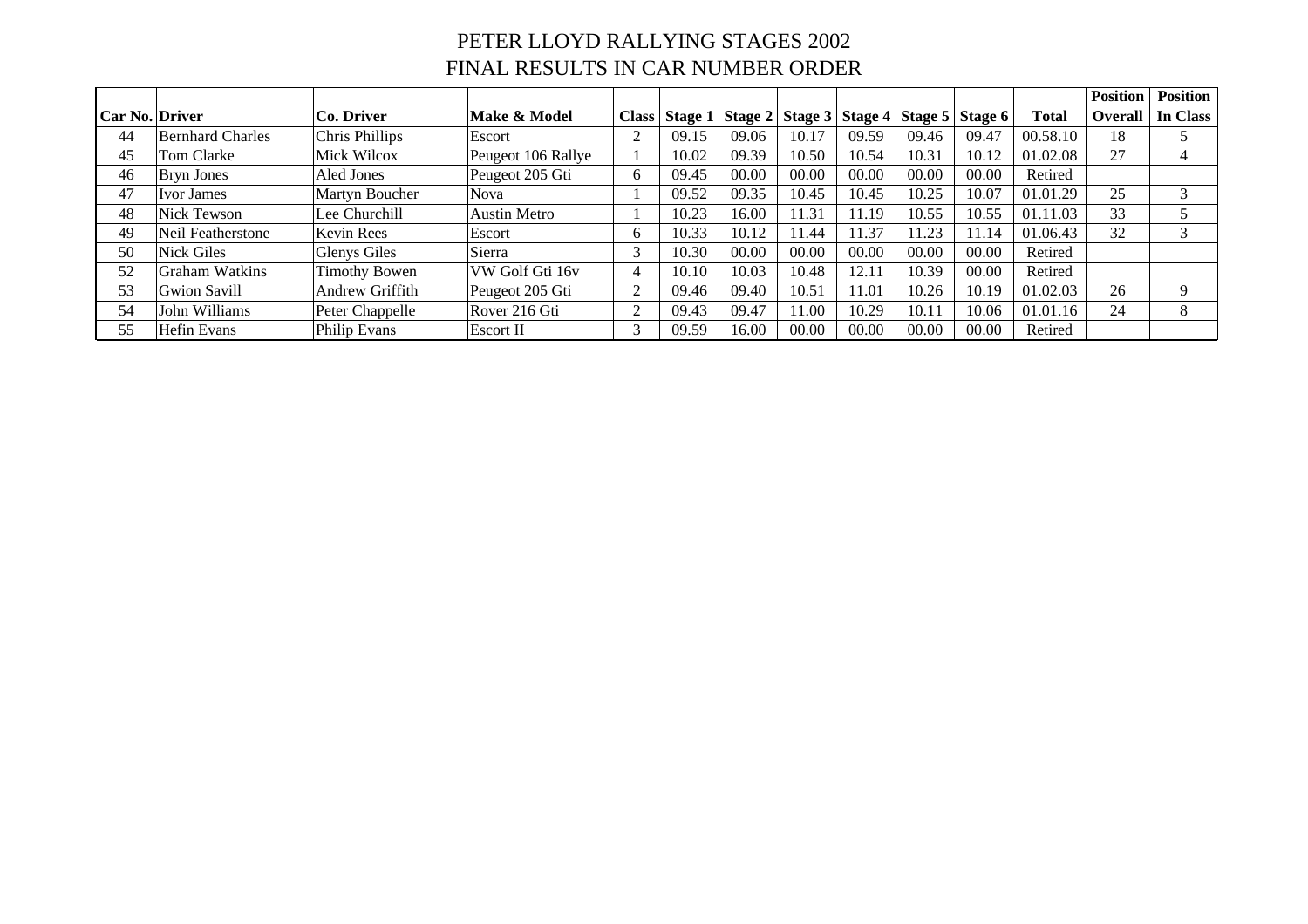## PETER LLOYD RALLYING STAGES 2002 FINAL RESULTS IN CAR NUMBER ORDER

|                |                         |                      |                     |               |         |       |       |       |       |                                                 |          | <b>Position</b> | <b>Position</b> |
|----------------|-------------------------|----------------------|---------------------|---------------|---------|-------|-------|-------|-------|-------------------------------------------------|----------|-----------------|-----------------|
| Car No. Driver |                         | Co. Driver           | Make & Model        | <b>Class</b>  | Stage 1 |       |       |       |       | Stage 2   Stage 3   Stage 4   Stage 5   Stage 6 | Total    | <b>Overall</b>  | In Class        |
| 44             | <b>Bernhard Charles</b> | Chris Phillips       | Escort              | ◠             | 09.15   | 09.06 | 10.17 | 09.59 | 09.46 | 09.47                                           | 00.58.10 | 18              |                 |
| 45             | Tom Clarke              | Mick Wilcox          | Peugeot 106 Rallye  |               | 10.02   | 09.39 | 10.50 | 10.54 | 10.31 | 10.12                                           | 01.02.08 | 27              | 4               |
| 46             | <b>Bryn Jones</b>       | Aled Jones           | Peugeot 205 Gti     | 6             | 09.45   | 00.00 | 00.00 | 00.00 | 00.00 | 00.00                                           | Retired  |                 |                 |
| 47             | Ivor James              | Martyn Boucher       | <b>Nova</b>         |               | 09.52   | 09.35 | 10.45 | 10.45 | 10.25 | 10.07                                           | 01.01.29 | 25              | 3               |
| 48             | Nick Tewson             | Lee Churchill        | <b>Austin Metro</b> |               | 10.23   | 16.00 | 11.31 | 11.19 | 10.55 | 10.55                                           | 01.11.03 | 33              |                 |
| 49             | Neil Featherstone       | <b>Kevin Rees</b>    | Escort              | 6             | 10.33   | 10.12 | 11.44 | 11.37 | 11.23 | 11.14                                           | 01.06.43 | 32              | 3               |
| 50             | <b>Nick Giles</b>       | Glenys Giles         | Sierra              | 3             | 10.30   | 00.00 | 00.00 | 00.00 | 00.00 | 00.00                                           | Retired  |                 |                 |
| 52             | Graham Watkins          | <b>Timothy Bowen</b> | VW Golf Gti 16v     | 4             | 10.10   | 10.03 | 10.48 | 12.11 | 10.39 | 00.00                                           | Retired  |                 |                 |
| 53             | Gwion Savill            | Andrew Griffith      | Peugeot 205 Gti     | ◠             | 09.46   | 09.40 | 10.51 | 11.01 | 10.26 | 10.19                                           | 01.02.03 | 26              | 9               |
| 54             | John Williams           | Peter Chappelle      | Rover 216 Gti       | ◠             | 09.43   | 09.47 | 11.00 | 10.29 | 10.11 | 10.06                                           | 01.01.16 | 24              | 8               |
| 55             | Hefin Evans             | Philip Evans         | Escort II           | $\rightarrow$ | 09.59   | 16.00 | 00.00 | 00.00 | 00.00 | 00.00                                           | Retired  |                 |                 |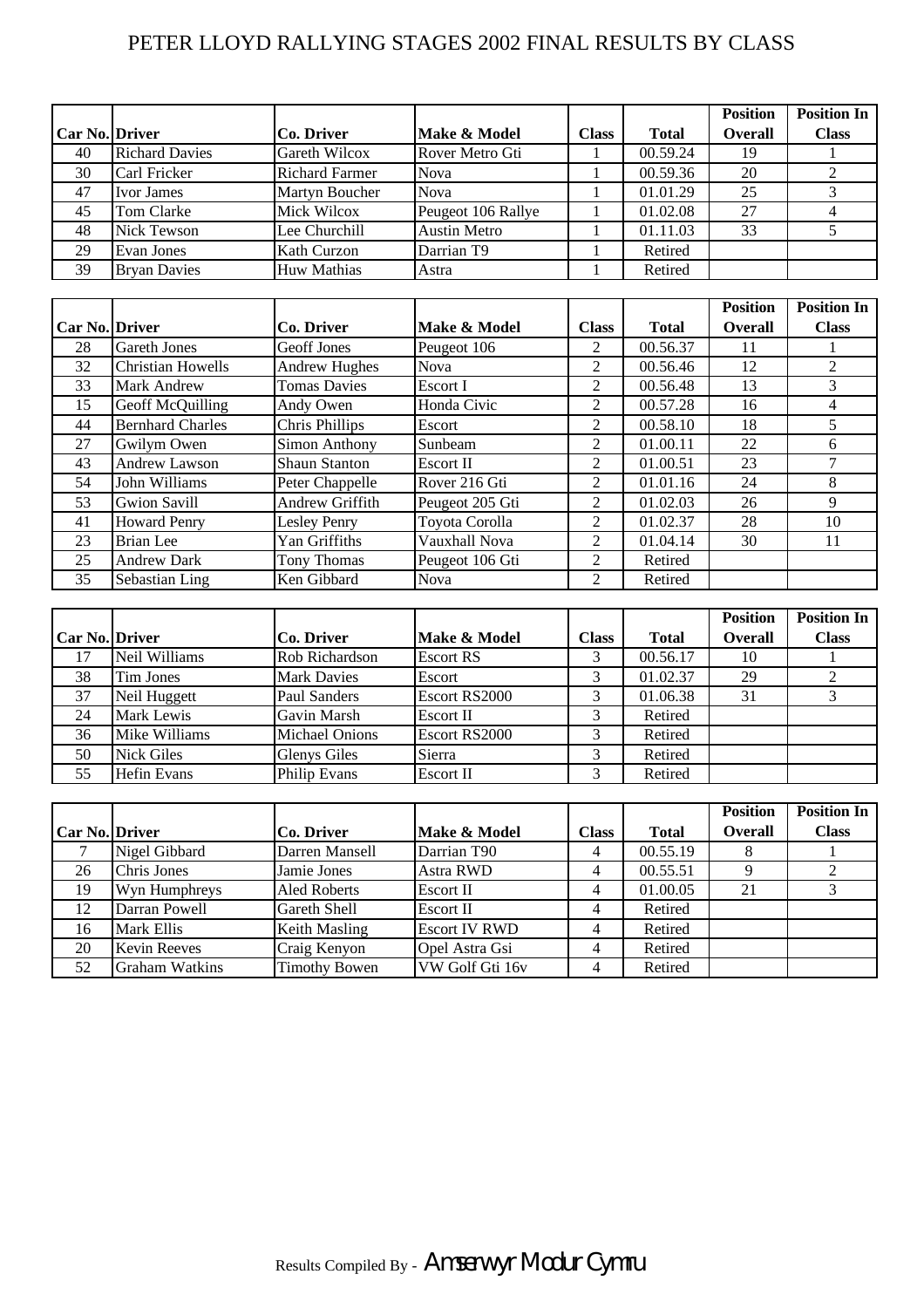### PETER LLOYD RALLYING STAGES 2002 FINAL RESULTS BY CLASS

|                       |                       |                       |                     |              |              | <b>Position</b> | <b>Position In</b> |
|-----------------------|-----------------------|-----------------------|---------------------|--------------|--------------|-----------------|--------------------|
| <b>Car No. Driver</b> |                       | Co. Driver            | Make & Model        | <b>Class</b> | <b>Total</b> | <b>Overall</b>  | <b>Class</b>       |
| 40                    | <b>Richard Davies</b> | Gareth Wilcox         | Rover Metro Gti     |              | 00.59.24     | 19              |                    |
| 30                    | Carl Fricker          | <b>Richard Farmer</b> | <b>Nova</b>         |              | 00.59.36     | 20              |                    |
| 47                    | <b>Ivor James</b>     | <b>Martyn Boucher</b> | <b>Nova</b>         |              | 01.01.29     | 25              |                    |
| 45                    | Tom Clarke            | Mick Wilcox           | Peugeot 106 Rallye  |              | 01.02.08     | 27              |                    |
| 48                    | <b>Nick Tewson</b>    | Lee Churchill         | <b>Austin Metro</b> |              | 01.11.03     | 33              |                    |
| 29                    | Evan Jones            | Kath Curzon           | Darrian T9          |              | Retired      |                 |                    |
| 39                    | <b>Bryan Davies</b>   | <b>Huw Mathias</b>    | Astra               |              | Retired      |                 |                    |

|                       |                          |                      |                 |                             |              | <b>Position</b> | <b>Position In</b> |
|-----------------------|--------------------------|----------------------|-----------------|-----------------------------|--------------|-----------------|--------------------|
| <b>Car No. Driver</b> |                          | Co. Driver           | Make & Model    | <b>Class</b>                | <b>Total</b> | <b>Overall</b>  | <b>Class</b>       |
| 28                    | <b>Gareth Jones</b>      | Geoff Jones          | Peugeot 106     | 2                           | 00.56.37     |                 |                    |
| 32                    | <b>Christian Howells</b> | <b>Andrew Hughes</b> | <b>Nova</b>     | 2                           | 00.56.46     | 12              | 2                  |
| 33                    | <b>Mark Andrew</b>       | <b>Tomas Davies</b>  | Escort I        | $\overline{2}$              | 00.56.48     | 13              | 3                  |
| 15                    | Geoff McQuilling         | Andy Owen            | Honda Civic     | 2                           | 00.57.28     | 16              | 4                  |
| 44                    | <b>Bernhard Charles</b>  | Chris Phillips       | Escort          | 2                           | 00.58.10     | 18              | 5                  |
| 27                    | Gwilym Owen              | Simon Anthony        | Sunbeam         | 2                           | 01.00.11     | 22              | 6                  |
| 43                    | Andrew Lawson            | Shaun Stanton        | Escort II       | $\overline{2}$              | 01.00.51     | 23              | 7                  |
| 54                    | John Williams            | Peter Chappelle      | Rover 216 Gti   | 2                           | 01.01.16     | 24              | 8                  |
| 53                    | <b>Gwion Savill</b>      | Andrew Griffith      | Peugeot 205 Gti | $\mathfrak{D}$              | 01.02.03     | 26              | 9                  |
| 41                    | <b>Howard Penry</b>      | <b>Lesley Penry</b>  | Toyota Corolla  | 2                           | 01.02.37     | 28              | 10                 |
| 23                    | <b>Brian</b> Lee         | Yan Griffiths        | Vauxhall Nova   | $\mathcal{D}_{\mathcal{L}}$ | 01.04.14     | 30              | 11                 |
| 25                    | <b>Andrew Dark</b>       | Tony Thomas          | Peugeot 106 Gti | 2                           | Retired      |                 |                    |
| 35                    | Sebastian Ling           | Ken Gibbard          | <b>Nova</b>     | $\mathfrak{D}$              | Retired      |                 |                    |

|                       |                    |                       |                  |              |              | <b>Position</b> | <b>Position In</b> |
|-----------------------|--------------------|-----------------------|------------------|--------------|--------------|-----------------|--------------------|
| <b>Car No. Driver</b> |                    | Co. Driver            | Make & Model     | <b>Class</b> | <b>Total</b> | <b>Overall</b>  | <b>Class</b>       |
| 17                    | Neil Williams      | Rob Richardson        | <b>Escort RS</b> |              | 00.56.17     | 10              |                    |
| 38                    | Tim Jones          | <b>Mark Davies</b>    | Escort           |              | 01.02.37     | 29              |                    |
| 37                    | Neil Huggett       | Paul Sanders          | Escort RS2000    | ⌒            | 01.06.38     | 31              |                    |
| 24                    | Mark Lewis         | Gavin Marsh           | Escort II        |              | Retired      |                 |                    |
| 36                    | Mike Williams      | <b>Michael Onions</b> | Escort RS2000    |              | Retired      |                 |                    |
| 50                    | <b>Nick Giles</b>  | <b>Glenys Giles</b>   | Sierra           |              | Retired      |                 |                    |
| 55                    | <b>Hefin Evans</b> | <b>Philip Evans</b>   | Escort II        |              | Retired      |                 |                    |

|                       |                       |                      |                      |              |              | <b>Position</b> | <b>Position In</b> |
|-----------------------|-----------------------|----------------------|----------------------|--------------|--------------|-----------------|--------------------|
| <b>Car No. Driver</b> |                       | Co. Driver           | Make & Model         | <b>Class</b> | <b>Total</b> | Overall         | <b>Class</b>       |
|                       | Nigel Gibbard         | Darren Mansell       | Darrian T90          |              | 00.55.19     |                 |                    |
| 26                    | Chris Jones           | Jamie Jones          | <b>Astra RWD</b>     |              | 00.55.51     |                 |                    |
| 19                    | Wyn Humphreys         | <b>Aled Roberts</b>  | <b>Escort II</b>     |              | 01.00.05     | 21              |                    |
| 12                    | Darran Powell         | Gareth Shell         | Escort II            |              | Retired      |                 |                    |
| 16                    | Mark Ellis            | Keith Masling        | <b>Escort IV RWD</b> |              | Retired      |                 |                    |
| 20                    | <b>Kevin Reeves</b>   | Craig Kenyon         | Opel Astra Gsi       |              | Retired      |                 |                    |
| 52                    | <b>Graham Watkins</b> | <b>Timothy Bowen</b> | VW Golf Gti 16v      |              | Retired      |                 |                    |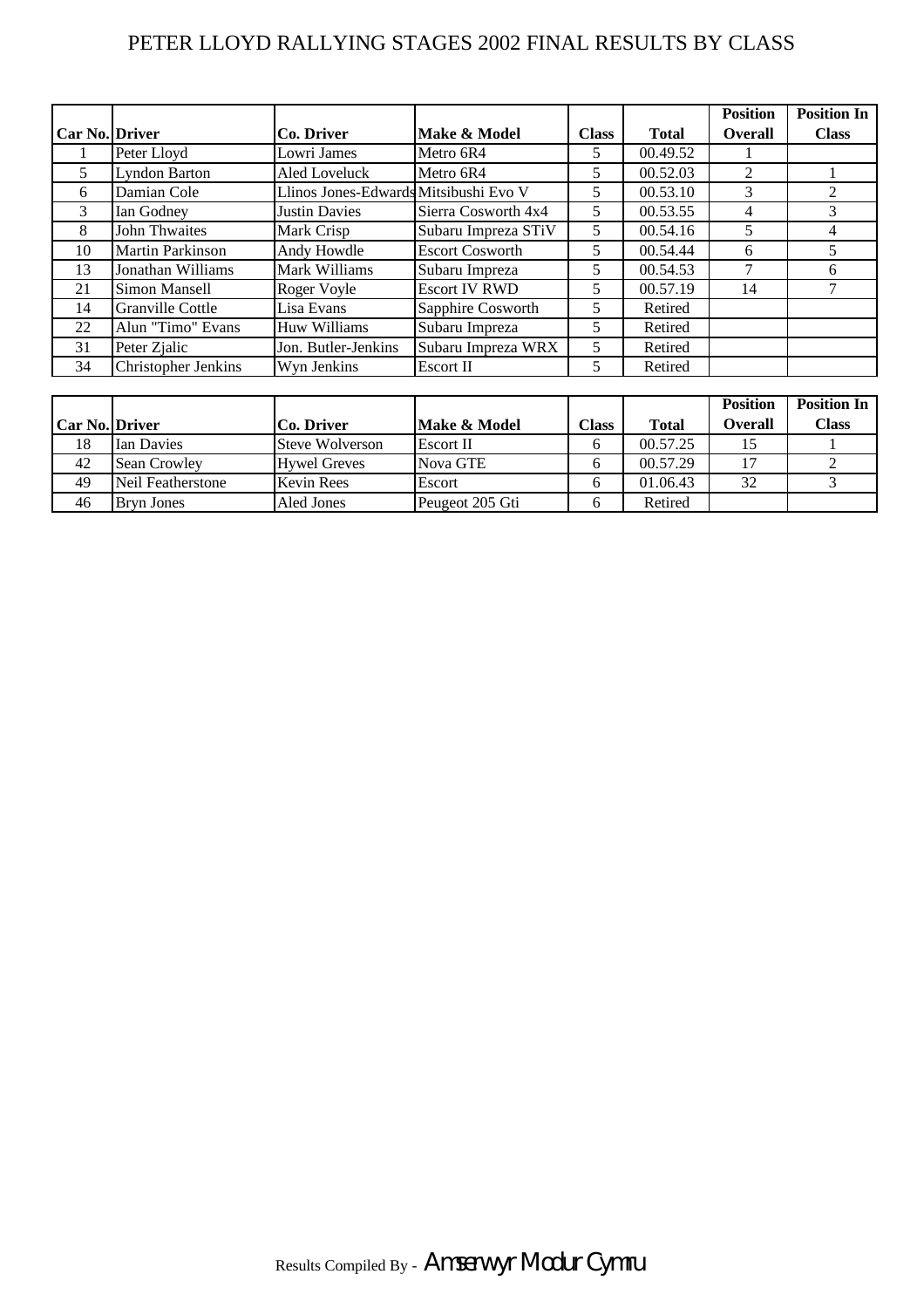### PETER LLOYD RALLYING STAGES 2002 FINAL RESULTS BY CLASS

|                       |                            |                                       |                        |              |              | <b>Position</b> | <b>Position In</b> |
|-----------------------|----------------------------|---------------------------------------|------------------------|--------------|--------------|-----------------|--------------------|
| <b>Car No. Driver</b> |                            | <b>Co. Driver</b>                     | Make & Model           | <b>Class</b> | <b>Total</b> | <b>Overall</b>  | <b>Class</b>       |
|                       | Peter Lloyd                | Lowri James                           | Metro 6R4              | 5            | 00.49.52     |                 |                    |
| 5                     | <b>Lyndon Barton</b>       | Aled Loveluck                         | Metro 6R4              | 5            | 00.52.03     | $\overline{2}$  |                    |
| 6                     | Damian Cole                | Llinos Jones-Edwards Mitsibushi Evo V |                        | 5            | 00.53.10     | 3               | 2                  |
| 3                     | Ian Godney                 | <b>Justin Davies</b>                  | Sierra Cosworth 4x4    | 5.           | 00.53.55     | 4               | 3                  |
| 8                     | John Thwaites              | Mark Crisp                            | Subaru Impreza STiV    | 5            | 00.54.16     |                 | 4                  |
| 10                    | <b>Martin Parkinson</b>    | Andy Howdle                           | <b>Escort Cosworth</b> | 5            | 00.54.44     | 6               | 5                  |
| 13                    | Jonathan Williams          | Mark Williams                         | Subaru Impreza         | 5            | 00.54.53     |                 | 6                  |
| 21                    | <b>Simon Mansell</b>       | Roger Voyle                           | <b>Escort IV RWD</b>   | 5            | 00.57.19     | 14              |                    |
| 14                    | Granville Cottle           | Lisa Evans                            | Sapphire Cosworth      | 5            | Retired      |                 |                    |
| 22                    | Alun "Timo" Evans          | <b>Huw Williams</b>                   | Subaru Impreza         | 5            | Retired      |                 |                    |
| 31                    | Peter Zjalic               | Jon. Butler-Jenkins                   | Subaru Impreza WRX     | 5            | Retired      |                 |                    |
| 34                    | <b>Christopher Jenkins</b> | Wyn Jenkins                           | Escort II              | 5            | Retired      |                 |                    |

|                       |                     |                        |                 |              |              | <b>Position</b> | <b>Position In</b> |
|-----------------------|---------------------|------------------------|-----------------|--------------|--------------|-----------------|--------------------|
| <b>Car No. Driver</b> |                     | Co. Driver             | Make & Model    | <b>Class</b> | <b>Total</b> | <b>Overall</b>  | <b>Class</b>       |
| 18                    | Ian Davies          | <b>Steve Wolverson</b> | Escort II       |              | 00.57.25     |                 |                    |
| 42                    | <b>Sean Crowley</b> | <b>Hywel Greves</b>    | Nova GTE        |              | 00.57.29     |                 |                    |
| 49                    | Neil Featherstone   | <b>Kevin Rees</b>      | Escort          |              | 01.06.43     | 32              |                    |
| 46                    | <b>Bryn Jones</b>   | Aled Jones             | Peugeot 205 Gti |              | Retired      |                 |                    |